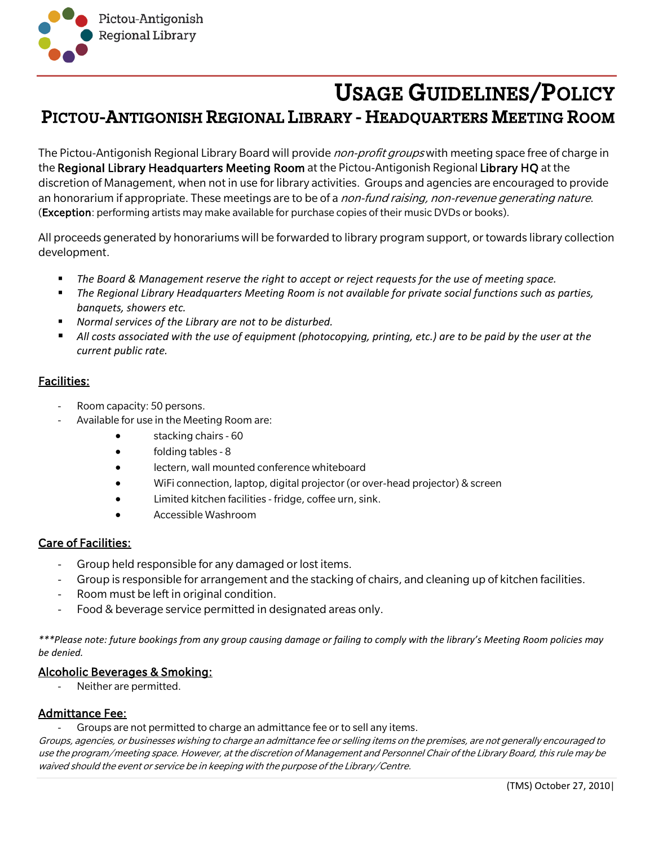

# USAGE GUIDELINES/POLICY PICTOU-ANTIGONISH REGIONAL LIBRARY - HEADQUARTERS MEETING ROOM

The Pictou-Antigonish Regional Library Board will provide non-profit groups with meeting space free of charge in the Regional Library Headquarters Meeting Room at the Pictou-Antigonish Regional Library HQ at the discretion of Management, when not in use for library activities. Groups and agencies are encouraged to provide an honorarium if appropriate. These meetings are to be of a *non-fund raising, non-revenue generating nature*. (Exception: performing artists may make available for purchase copies of their music DVDs or books).

All proceeds generated by honorariums will be forwarded to library program support, or towards library collection development.

- *The Board & Management reserve the right to accept or reject requests for the use of meeting space.*
- *The Regional Library Headquarters Meeting Room is not available for private social functions such as parties, banquets, showers etc.*
- *Normal services of the Library are not to be disturbed.*
- *All costs associated with the use of equipment (photocopying, printing, etc.) are to be paid by the user at the current public rate.*

## Facilities:

- Room capacity: 50 persons.
- Available for use in the Meeting Room are:
	- stacking chairs 60
	- folding tables 8
	- lectern, wall mounted conference whiteboard
	- WiFi connection, laptop, digital projector (or over-head projector) & screen
	- Limited kitchen facilities fridge, coffee urn, sink.
	- Accessible Washroom

## Care of Facilities:

- Group held responsible for any damaged or lost items.
- Group is responsible for arrangement and the stacking of chairs, and cleaning up of kitchen facilities.
- Room must be left in original condition.
- Food & beverage service permitted in designated areas only.

*\*\*\*Please note: future bookings from any group causing damage or failing to comply with the library's Meeting Room policies may be denied.*

## Alcoholic Beverages & Smoking:

Neither are permitted.

## Admittance Fee:

Groups are not permitted to charge an admittance fee or to sell any items.

Groups, agencies, or businesses wishing to charge an admittance fee or selling items on the premises, are not generally encouraged to use the program/meeting space. However, at the discretion of Management and Personnel Chair of the Library Board, this rule may be waived should the event or service be in keeping with the purpose of the Library/Centre.